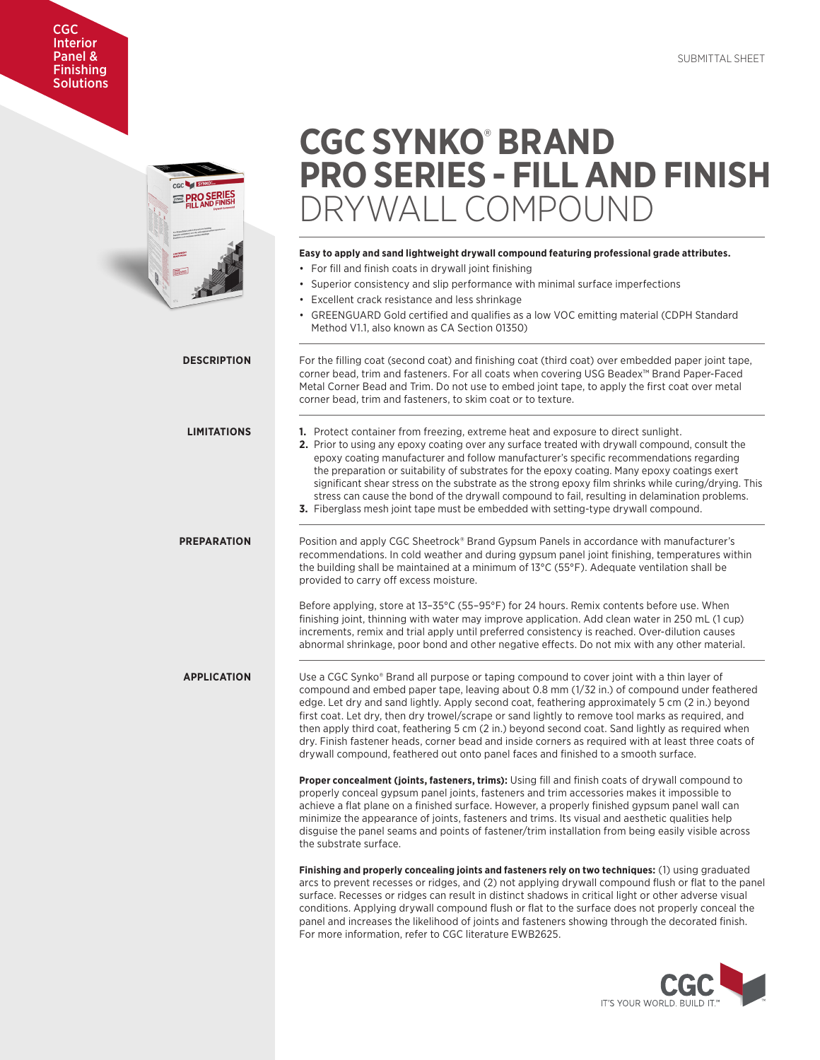# CGC Interior Panel & Finishing **Solutions**



# **CGC SYNKO**®  **BRAND PRO SERIES - FILL AND FINISH** RYWALL COMPOUND

**Easy to apply and sand lightweight drywall compound featuring professional grade attributes.**

# • For fill and finish coats in drywall joint finishing • Superior consistency and slip performance with minimal surface imperfections • Excellent crack resistance and less shrinkage • GREENGUARD Gold certified and qualifies as a low VOC emitting material (CDPH Standard Method V1.1, also known as CA Section 01350) **DESCRIPTION** For the filling coat (second coat) and finishing coat (third coat) over embedded paper joint tape, corner bead, trim and fasteners. For all coats when covering USG Beadex™ Brand Paper-Faced Metal Corner Bead and Trim. Do not use to embed joint tape, to apply the first coat over metal corner bead, trim and fasteners, to skim coat or to texture. **LIMITATIONS 1.** Protect container from freezing, extreme heat and exposure to direct sunlight. **2.** Prior to using any epoxy coating over any surface treated with drywall compound, consult the epoxy coating manufacturer and follow manufacturer's specific recommendations regarding the preparation or suitability of substrates for the epoxy coating. Many epoxy coatings exert significant shear stress on the substrate as the strong epoxy film shrinks while curing/drying. This stress can cause the bond of the drywall compound to fail, resulting in delamination problems. **3.** Fiberglass mesh joint tape must be embedded with setting-type drywall compound. **PREPARATION** Position and apply CGC Sheetrock® Brand Gypsum Panels in accordance with manufacturer's recommendations. In cold weather and during gypsum panel joint finishing, temperatures within the building shall be maintained at a minimum of 13°C (55°F). Adequate ventilation shall be provided to carry off excess moisture. Before applying, store at 13–35°C (55–95°F) for 24 hours. Remix contents before use. When finishing joint, thinning with water may improve application. Add clean water in 250 mL (1 cup) increments, remix and trial apply until preferred consistency is reached. Over-dilution causes abnormal shrinkage, poor bond and other negative effects. Do not mix with any other material. **APPLICATION** Use a CGC Synko® Brand all purpose or taping compound to cover joint with a thin layer of compound and embed paper tape, leaving about 0.8 mm (1/32 in.) of compound under feathered edge. Let dry and sand lightly. Apply second coat, feathering approximately 5 cm (2 in.) beyond first coat. Let dry, then dry trowel/scrape or sand lightly to remove tool marks as required, and then apply third coat, feathering 5 cm (2 in.) beyond second coat. Sand lightly as required when dry. Finish fastener heads, corner bead and inside corners as required with at least three coats of drywall compound, feathered out onto panel faces and finished to a smooth surface. **Proper concealment (joints, fasteners, trims):** Using fill and finish coats of drywall compound to properly conceal gypsum panel joints, fasteners and trim accessories makes it impossible to achieve a flat plane on a finished surface. However, a properly finished gypsum panel wall can minimize the appearance of joints, fasteners and trims. Its visual and aesthetic qualities help disguise the panel seams and points of fastener/trim installation from being easily visible across the substrate surface. **Finishing and properly concealing joints and fasteners rely on two techniques:** (1) using graduated arcs to prevent recesses or ridges, and (2) not applying drywall compound flush or flat to the panel surface. Recesses or ridges can result in distinct shadows in critical light or other adverse visual conditions. Applying drywall compound flush or flat to the surface does not properly conceal the panel and increases the likelihood of joints and fasteners showing through the decorated finish. For more information, refer to CGC literature EWB2625.